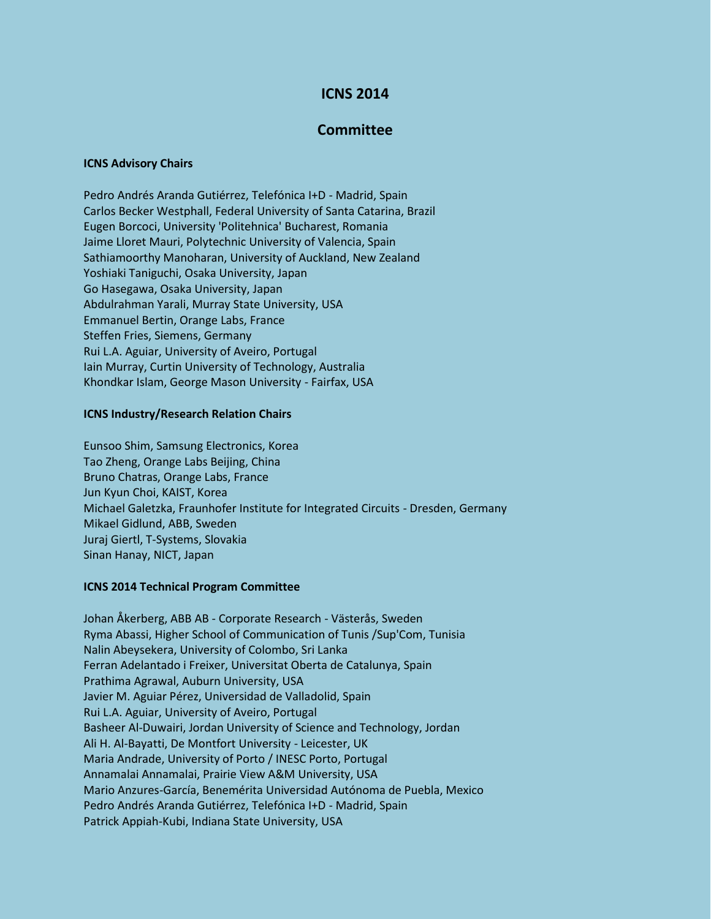# **ICNS 2014**

# **Committee**

### **ICNS Advisory Chairs**

Pedro Andrés Aranda Gutiérrez, Telefónica I+D - Madrid, Spain Carlos Becker Westphall, Federal University of Santa Catarina, Brazil Eugen Borcoci, University 'Politehnica' Bucharest, Romania Jaime Lloret Mauri, Polytechnic University of Valencia, Spain Sathiamoorthy Manoharan, University of Auckland, New Zealand Yoshiaki Taniguchi, Osaka University, Japan Go Hasegawa, Osaka University, Japan Abdulrahman Yarali, Murray State University, USA Emmanuel Bertin, Orange Labs, France Steffen Fries, Siemens, Germany Rui L.A. Aguiar, University of Aveiro, Portugal Iain Murray, Curtin University of Technology, Australia Khondkar Islam, George Mason University - Fairfax, USA

#### **ICNS Industry/Research Relation Chairs**

Eunsoo Shim, Samsung Electronics, Korea Tao Zheng, Orange Labs Beijing, China Bruno Chatras, Orange Labs, France Jun Kyun Choi, KAIST, Korea Michael Galetzka, Fraunhofer Institute for Integrated Circuits - Dresden, Germany Mikael Gidlund, ABB, Sweden Juraj Giertl, T-Systems, Slovakia Sinan Hanay, NICT, Japan

### **ICNS 2014 Technical Program Committee**

Johan Åkerberg, ABB AB - Corporate Research - Västerås, Sweden Ryma Abassi, Higher School of Communication of Tunis /Sup'Com, Tunisia Nalin Abeysekera, University of Colombo, Sri Lanka Ferran Adelantado i Freixer, Universitat Oberta de Catalunya, Spain Prathima Agrawal, Auburn University, USA Javier M. Aguiar Pérez, Universidad de Valladolid, Spain Rui L.A. Aguiar, University of Aveiro, Portugal Basheer Al-Duwairi, Jordan University of Science and Technology, Jordan Ali H. Al-Bayatti, De Montfort University - Leicester, UK Maria Andrade, University of Porto / INESC Porto, Portugal Annamalai Annamalai, Prairie View A&M University, USA Mario Anzures-García, Benemérita Universidad Autónoma de Puebla, Mexico Pedro Andrés Aranda Gutiérrez, Telefónica I+D - Madrid, Spain Patrick Appiah-Kubi, Indiana State University, USA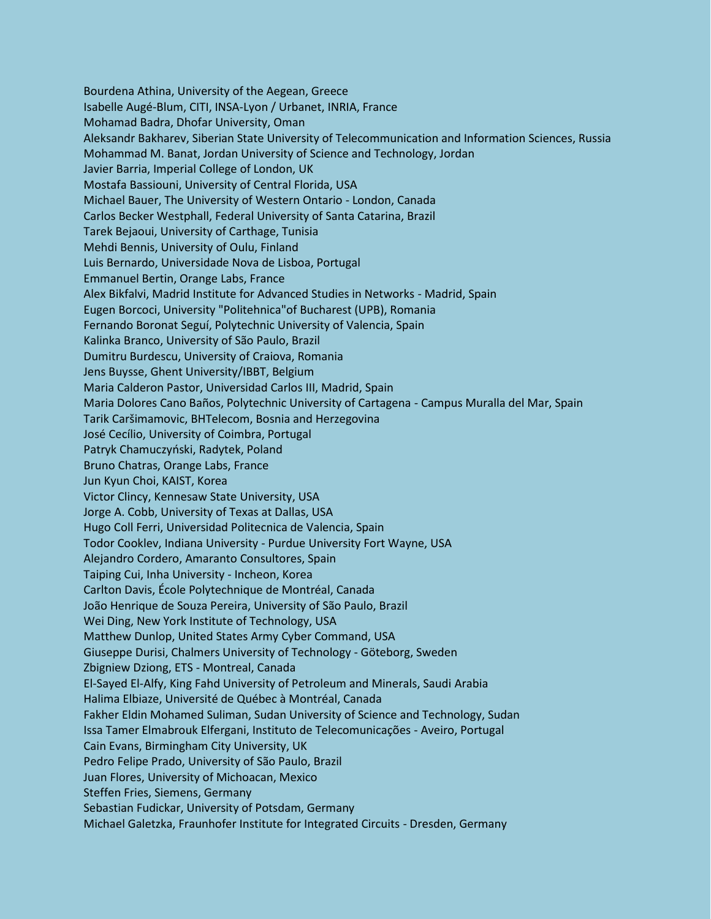Bourdena Athina, University of the Aegean, Greece Isabelle Augé-Blum, CITI, INSA-Lyon / Urbanet, INRIA, France Mohamad Badra, Dhofar University, Oman Aleksandr Bakharev, Siberian State University of Telecommunication and Information Sciences, Russia Mohammad M. Banat, Jordan University of Science and Technology, Jordan Javier Barria, Imperial College of London, UK Mostafa Bassiouni, University of Central Florida, USA Michael Bauer, The University of Western Ontario - London, Canada Carlos Becker Westphall, Federal University of Santa Catarina, Brazil Tarek Bejaoui, University of Carthage, Tunisia Mehdi Bennis, University of Oulu, Finland Luis Bernardo, Universidade Nova de Lisboa, Portugal Emmanuel Bertin, Orange Labs, France Alex Bikfalvi, Madrid Institute for Advanced Studies in Networks - Madrid, Spain Eugen Borcoci, University "Politehnica"of Bucharest (UPB), Romania Fernando Boronat Seguí, Polytechnic University of Valencia, Spain Kalinka Branco, University of São Paulo, Brazil Dumitru Burdescu, University of Craiova, Romania Jens Buysse, Ghent University/IBBT, Belgium Maria Calderon Pastor, Universidad Carlos III, Madrid, Spain Maria Dolores Cano Baños, Polytechnic University of Cartagena - Campus Muralla del Mar, Spain Tarik Caršimamovic, BHTelecom, Bosnia and Herzegovina José Cecílio, University of Coimbra, Portugal Patryk Chamuczyński, Radytek, Poland Bruno Chatras, Orange Labs, France Jun Kyun Choi, KAIST, Korea Victor Clincy, Kennesaw State University, USA Jorge A. Cobb, University of Texas at Dallas, USA Hugo Coll Ferri, Universidad Politecnica de Valencia, Spain Todor Cooklev, Indiana University - Purdue University Fort Wayne, USA Alejandro Cordero, Amaranto Consultores, Spain Taiping Cui, Inha University - Incheon, Korea Carlton Davis, École Polytechnique de Montréal, Canada João Henrique de Souza Pereira, University of São Paulo, Brazil Wei Ding, New York Institute of Technology, USA Matthew Dunlop, United States Army Cyber Command, USA Giuseppe Durisi, Chalmers University of Technology - Göteborg, Sweden Zbigniew Dziong, ETS - Montreal, Canada El-Sayed El-Alfy, King Fahd University of Petroleum and Minerals, Saudi Arabia Halima Elbiaze, Université de Québec à Montréal, Canada Fakher Eldin Mohamed Suliman, Sudan University of Science and Technology, Sudan Issa Tamer Elmabrouk Elfergani, Instituto de Telecomunicações - Aveiro, Portugal Cain Evans, Birmingham City University, UK Pedro Felipe Prado, University of São Paulo, Brazil Juan Flores, University of Michoacan, Mexico Steffen Fries, Siemens, Germany Sebastian Fudickar, University of Potsdam, Germany Michael Galetzka, Fraunhofer Institute for Integrated Circuits - Dresden, Germany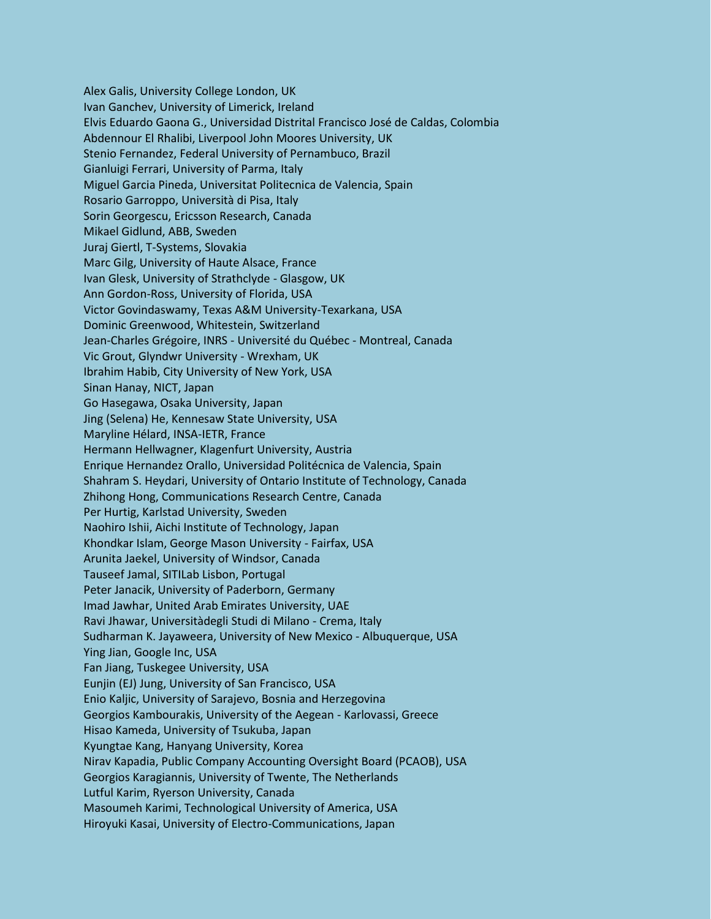Alex Galis, University College London, UK Ivan Ganchev, University of Limerick, Ireland Elvis Eduardo Gaona G., Universidad Distrital Francisco José de Caldas, Colombia Abdennour El Rhalibi, Liverpool John Moores University, UK Stenio Fernandez, Federal University of Pernambuco, Brazil Gianluigi Ferrari, University of Parma, Italy Miguel Garcia Pineda, Universitat Politecnica de Valencia, Spain Rosario Garroppo, Università di Pisa, Italy Sorin Georgescu, Ericsson Research, Canada Mikael Gidlund, ABB, Sweden Juraj Giertl, T-Systems, Slovakia Marc Gilg, University of Haute Alsace, France Ivan Glesk, University of Strathclyde - Glasgow, UK Ann Gordon-Ross, University of Florida, USA Victor Govindaswamy, Texas A&M University-Texarkana, USA Dominic Greenwood, Whitestein, Switzerland Jean-Charles Grégoire, INRS - Université du Québec - Montreal, Canada Vic Grout, Glyndwr University - Wrexham, UK Ibrahim Habib, City University of New York, USA Sinan Hanay, NICT, Japan Go Hasegawa, Osaka University, Japan Jing (Selena) He, Kennesaw State University, USA Maryline Hélard, INSA-IETR, France Hermann Hellwagner, Klagenfurt University, Austria Enrique Hernandez Orallo, Universidad Politécnica de Valencia, Spain Shahram S. Heydari, University of Ontario Institute of Technology, Canada Zhihong Hong, Communications Research Centre, Canada Per Hurtig, Karlstad University, Sweden Naohiro Ishii, Aichi Institute of Technology, Japan Khondkar Islam, George Mason University - Fairfax, USA Arunita Jaekel, University of Windsor, Canada Tauseef Jamal, SITILab Lisbon, Portugal Peter Janacik, University of Paderborn, Germany Imad Jawhar, United Arab Emirates University, UAE Ravi Jhawar, Universitàdegli Studi di Milano - Crema, Italy Sudharman K. Jayaweera, University of New Mexico - Albuquerque, USA Ying Jian, Google Inc, USA Fan Jiang, Tuskegee University, USA Eunjin (EJ) Jung, University of San Francisco, USA Enio Kaljic, University of Sarajevo, Bosnia and Herzegovina Georgios Kambourakis, University of the Aegean - Karlovassi, Greece Hisao Kameda, University of Tsukuba, Japan Kyungtae Kang, Hanyang University, Korea Nirav Kapadia, Public Company Accounting Oversight Board (PCAOB), USA Georgios Karagiannis, University of Twente, The Netherlands Lutful Karim, Ryerson University, Canada Masoumeh Karimi, Technological University of America, USA Hiroyuki Kasai, University of Electro-Communications, Japan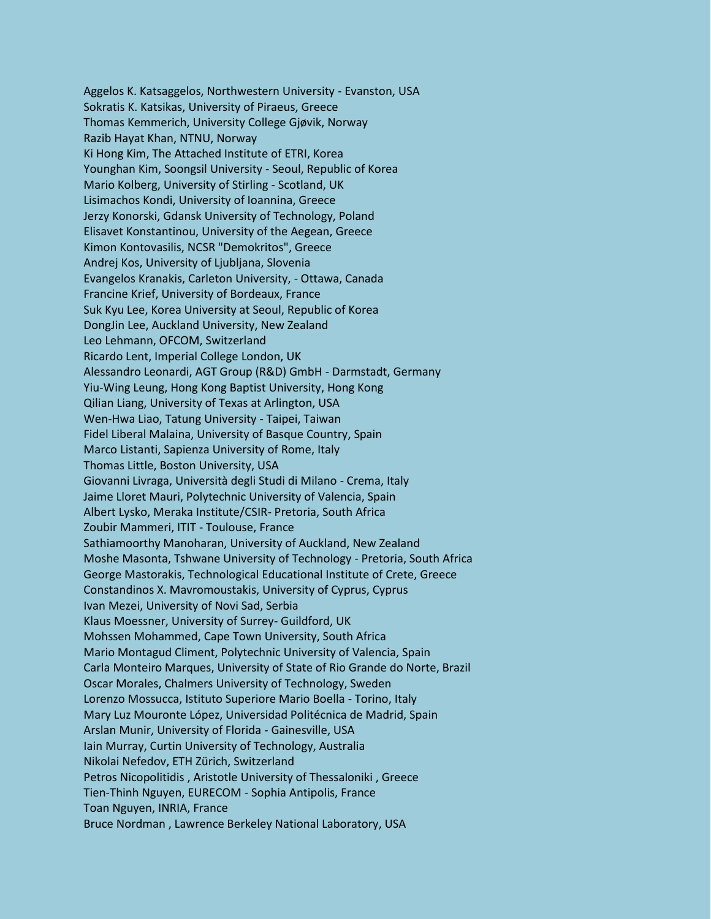Aggelos K. Katsaggelos, Northwestern University - Evanston, USA Sokratis K. Katsikas, University of Piraeus, Greece Thomas Kemmerich, University College Gjøvik, Norway Razib Hayat Khan, NTNU, Norway Ki Hong Kim, The Attached Institute of ETRI, Korea Younghan Kim, Soongsil University - Seoul, Republic of Korea Mario Kolberg, University of Stirling - Scotland, UK Lisimachos Kondi, University of Ioannina, Greece Jerzy Konorski, Gdansk University of Technology, Poland Elisavet Konstantinou, University of the Aegean, Greece Kimon Kontovasilis, NCSR "Demokritos", Greece Andrej Kos, University of Ljubljana, Slovenia Evangelos Kranakis, Carleton University, - Ottawa, Canada Francine Krief, University of Bordeaux, France Suk Kyu Lee, Korea University at Seoul, Republic of Korea DongJin Lee, Auckland University, New Zealand Leo Lehmann, OFCOM, Switzerland Ricardo Lent, Imperial College London, UK Alessandro Leonardi, AGT Group (R&D) GmbH - Darmstadt, Germany Yiu-Wing Leung, Hong Kong Baptist University, Hong Kong Qilian Liang, University of Texas at Arlington, USA Wen-Hwa Liao, Tatung University - Taipei, Taiwan Fidel Liberal Malaina, University of Basque Country, Spain Marco Listanti, Sapienza University of Rome, Italy Thomas Little, Boston University, USA Giovanni Livraga, Università degli Studi di Milano - Crema, Italy Jaime Lloret Mauri, Polytechnic University of Valencia, Spain Albert Lysko, Meraka Institute/CSIR- Pretoria, South Africa Zoubir Mammeri, ITIT - Toulouse, France Sathiamoorthy Manoharan, University of Auckland, New Zealand Moshe Masonta, Tshwane University of Technology - Pretoria, South Africa George Mastorakis, Technological Educational Institute of Crete, Greece Constandinos X. Mavromoustakis, University of Cyprus, Cyprus Ivan Mezei, University of Novi Sad, Serbia Klaus Moessner, University of Surrey- Guildford, UK Mohssen Mohammed, Cape Town University, South Africa Mario Montagud Climent, Polytechnic University of Valencia, Spain Carla Monteiro Marques, University of State of Rio Grande do Norte, Brazil Oscar Morales, Chalmers University of Technology, Sweden Lorenzo Mossucca, Istituto Superiore Mario Boella - Torino, Italy Mary Luz Mouronte López, Universidad Politécnica de Madrid, Spain Arslan Munir, University of Florida - Gainesville, USA Iain Murray, Curtin University of Technology, Australia Nikolai Nefedov, ETH Zürich, Switzerland Petros Nicopolitidis , Aristotle University of Thessaloniki , Greece Tien-Thinh Nguyen, EURECOM - Sophia Antipolis, France Toan Nguyen, INRIA, France Bruce Nordman , Lawrence Berkeley National Laboratory, USA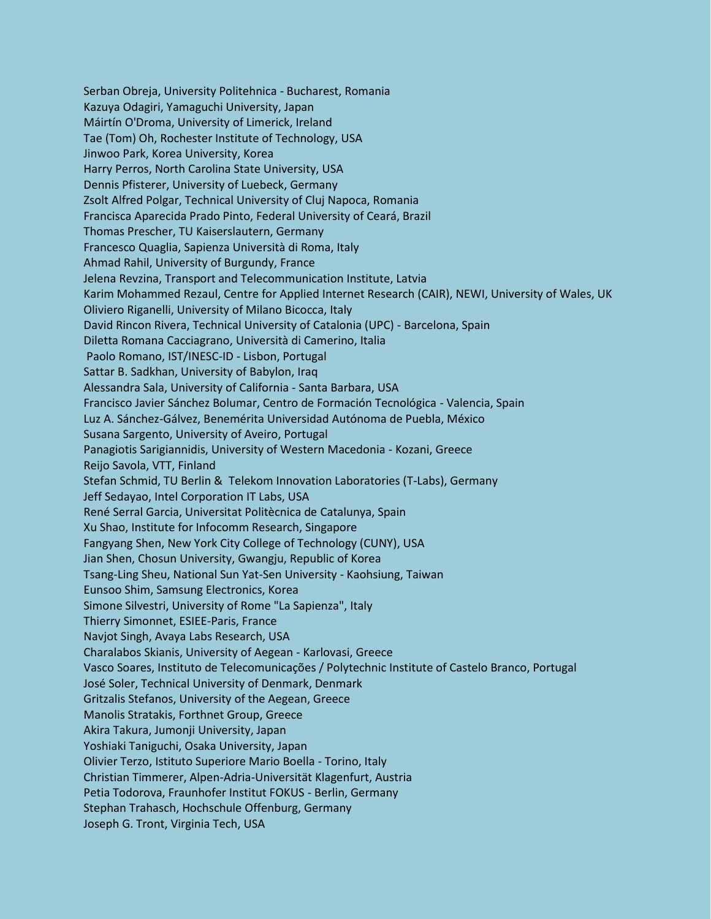Serban Obreja, University Politehnica - Bucharest, Romania Kazuya Odagiri, Yamaguchi University, Japan Máirtín O'Droma, University of Limerick, Ireland Tae (Tom) Oh, Rochester Institute of Technology, USA Jinwoo Park, Korea University, Korea Harry Perros, North Carolina State University, USA Dennis Pfisterer, University of Luebeck, Germany Zsolt Alfred Polgar, Technical University of Cluj Napoca, Romania Francisca Aparecida Prado Pinto, Federal University of Ceará, Brazil Thomas Prescher, TU Kaiserslautern, Germany Francesco Quaglia, Sapienza Università di Roma, Italy Ahmad Rahil, University of Burgundy, France Jelena Revzina, Transport and Telecommunication Institute, Latvia Karim Mohammed Rezaul, Centre for Applied Internet Research (CAIR), NEWI, University of Wales, UK Oliviero Riganelli, University of Milano Bicocca, Italy David Rincon Rivera, Technical University of Catalonia (UPC) - Barcelona, Spain Diletta Romana Cacciagrano, Università di Camerino, Italia Paolo Romano, IST/INESC-ID - Lisbon, Portugal Sattar B. Sadkhan, University of Babylon, Iraq Alessandra Sala, University of California - Santa Barbara, USA Francisco Javier Sánchez Bolumar, Centro de Formación Tecnológica - Valencia, Spain Luz A. Sánchez-Gálvez, Benemérita Universidad Autónoma de Puebla, México Susana Sargento, University of Aveiro, Portugal Panagiotis Sarigiannidis, University of Western Macedonia - Kozani, Greece Reijo Savola, VTT, Finland Stefan Schmid, TU Berlin & Telekom Innovation Laboratories (T-Labs), Germany Jeff Sedayao, Intel Corporation IT Labs, USA René Serral Garcia, Universitat Politècnica de Catalunya, Spain Xu Shao, Institute for Infocomm Research, Singapore Fangyang Shen, New York City College of Technology (CUNY), USA Jian Shen, Chosun University, Gwangju, Republic of Korea Tsang-Ling Sheu, National Sun Yat-Sen University - Kaohsiung, Taiwan Eunsoo Shim, Samsung Electronics, Korea Simone Silvestri, University of Rome "La Sapienza", Italy Thierry Simonnet, ESIEE-Paris, France Navjot Singh, Avaya Labs Research, USA Charalabos Skianis, University of Aegean - Karlovasi, Greece Vasco Soares, Instituto de Telecomunicações / Polytechnic Institute of Castelo Branco, Portugal José Soler, Technical University of Denmark, Denmark Gritzalis Stefanos, University of the Aegean, Greece Manolis Stratakis, Forthnet Group, Greece Akira Takura, Jumonji University, Japan Yoshiaki Taniguchi, Osaka University, Japan Olivier Terzo, Istituto Superiore Mario Boella - Torino, Italy Christian Timmerer, Alpen-Adria-Universität Klagenfurt, Austria Petia Todorova, Fraunhofer Institut FOKUS - Berlin, Germany Stephan Trahasch, Hochschule Offenburg, Germany Joseph G. Tront, Virginia Tech, USA